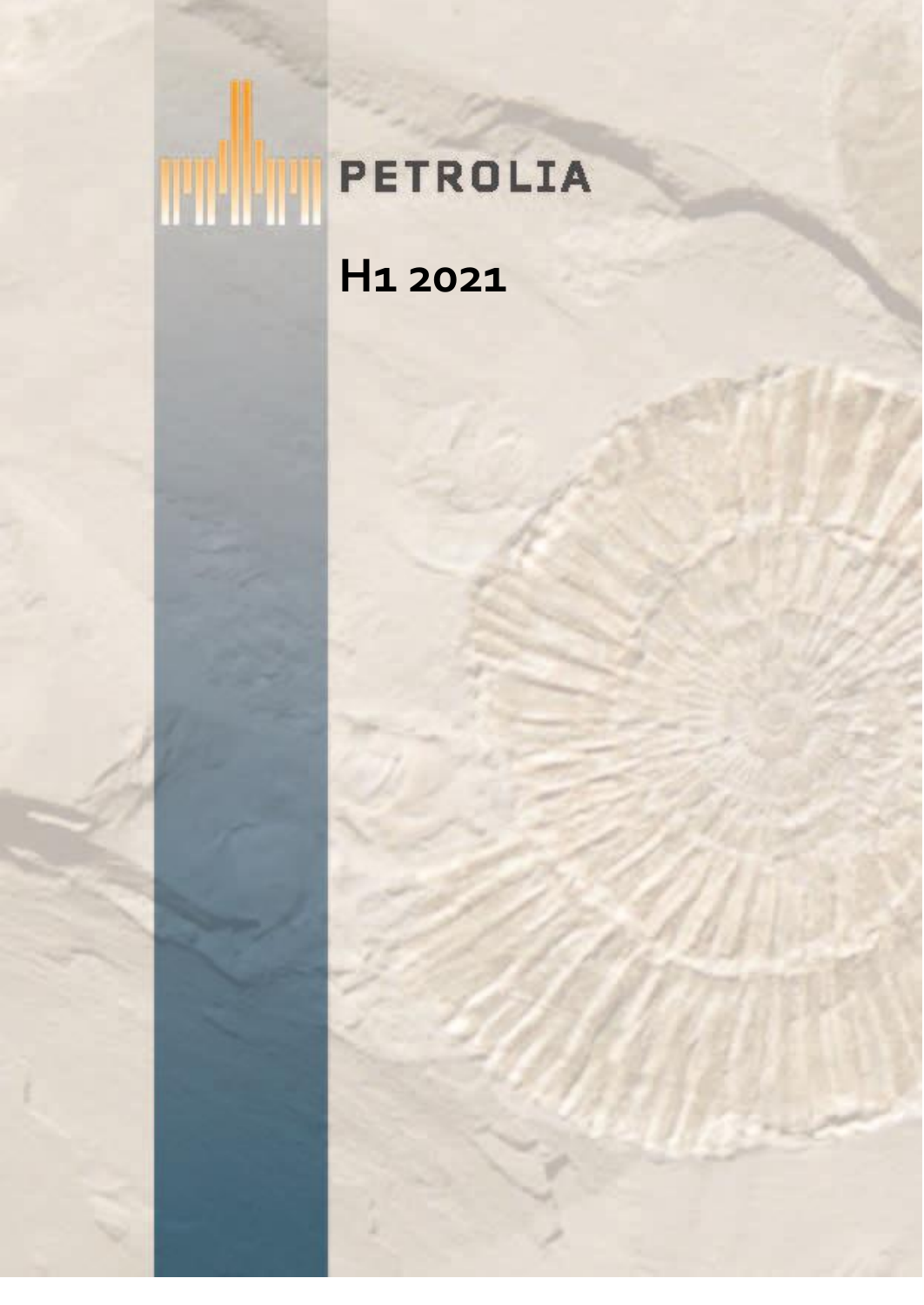# **THE PETROLIA H1 2021**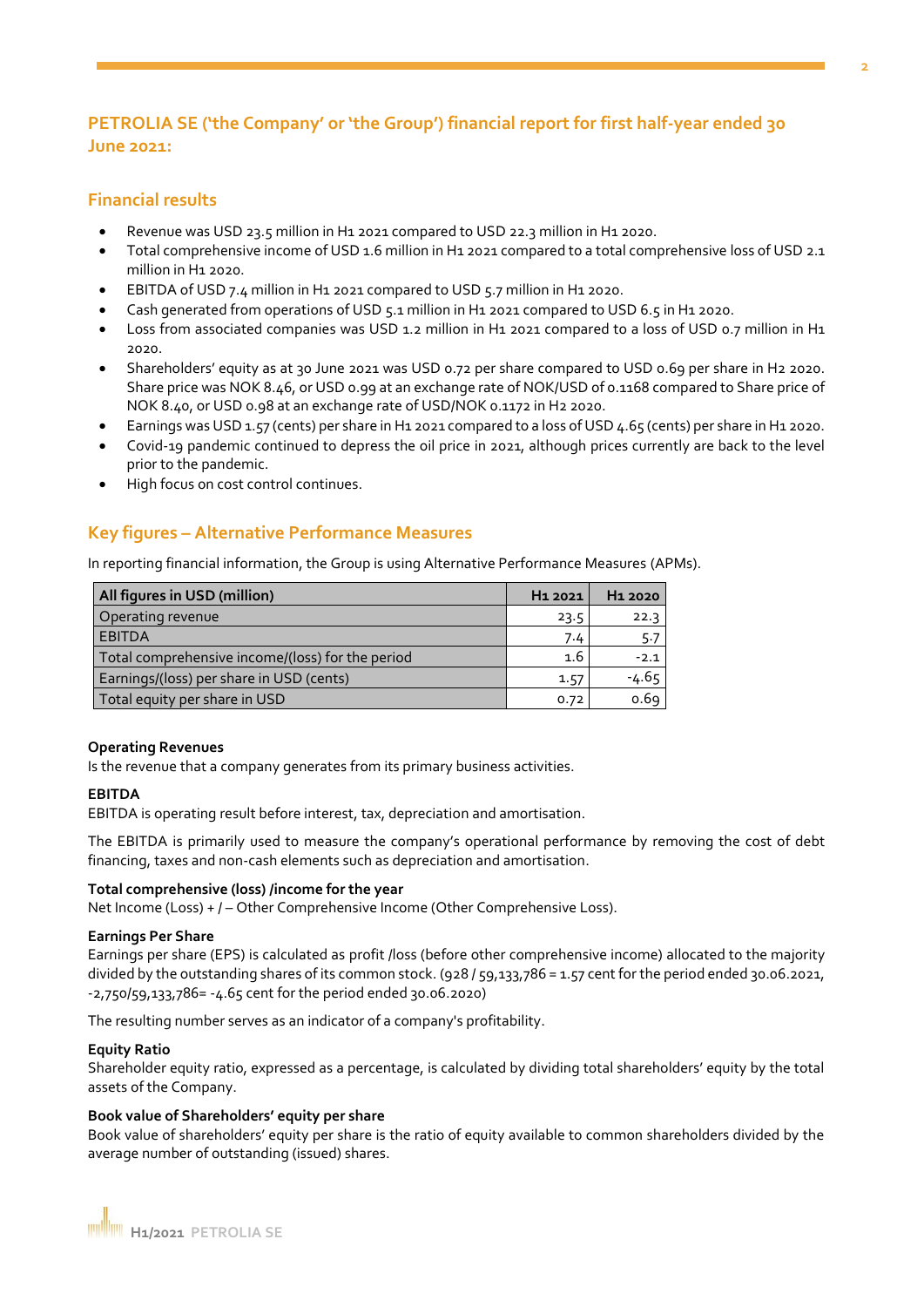## **PETROLIA SE ('the Company' or 'the Group') financial report for first half-year ended 30 June 2021:**

#### **Financial results**

- Revenue was USD 23.5 million in H1 2021 compared to USD 22.3 million in H1 2020.
- Total comprehensive income of USD 1.6 million in H1 2021 compared to a total comprehensive loss of USD 2.1 million in H1 2020.
- EBITDA of USD 7.4 million in H1 2021 compared to USD 5.7 million in H1 2020.
- Cash generated from operations of USD 5.1 million in H1 2021 compared to USD 6.5 in H1 2020.
- Loss from associated companies was USD 1.2 million in H1 2021 compared to a loss of USD 0.7 million in H1 2020.
- Shareholders' equity as at 30 June 2021 was USD 0.72 per share compared to USD 0.69 per share in H2 2020. Share price was NOK 8.46, or USD 0.99 at an exchange rate of NOK/USD of 0.1168 compared to Share price of NOK 8.40, or USD 0.98 at an exchange rate of USD/NOK 0.1172 in H2 2020.
- Earnings was USD 1.57 (cents) per share in H1 2021 compared to a loss of USD 4.65 (cents) per share in H1 2020.
- Covid-19 pandemic continued to depress the oil price in 2021, although prices currently are back to the level prior to the pandemic.
- High focus on cost control continues.

## **Key figures – Alternative Performance Measures**

In reporting financial information, the Group is using Alternative Performance Measures (APMs).

| All figures in USD (million)                     | H <sub>1</sub> 2021 | H <sub>1</sub> 2020 |
|--------------------------------------------------|---------------------|---------------------|
| Operating revenue                                | 23.5                | 22.3                |
| <b>EBITDA</b>                                    | 7.4                 | 5.7                 |
| Total comprehensive income/(loss) for the period | 1.6                 | $-2.1$              |
| Earnings/(loss) per share in USD (cents)         | 1.57                | $-4.65$             |
| Total equity per share in USD                    | 0.72                | 0.69                |

#### **Operating Revenues**

Is the revenue that a company generates from its primary business activities.

#### **EBITDA**

EBITDA is operating result before interest, tax, depreciation and amortisation.

The EBITDA is primarily used to measure the company's operational performance by removing the cost of debt financing, taxes and non-cash elements such as depreciation and amortisation.

#### **Total comprehensive (loss) /income for the year**

Net Income (Loss) + / - Other Comprehensive Income (Other Comprehensive Loss).

#### **Earnings Per Share**

Earnings per share (EPS) is calculated as profit /loss (before other comprehensive income) allocated to the majority divided by the outstanding shares of its common stock. (928 / 59,133,786 = 1.57 cent for the period ended 30.06.2021, -2,750/59,133,786= -4.65 cent for the period ended 30.06.2020)

The resulting number serves as an indicator of a company's profitability.

#### **Equity Ratio**

Shareholder equity ratio, expressed as a percentage, is calculated by dividing total shareholders' equity by the total assets of the Company.

#### **Book value of Shareholders' equity per share**

Book value of shareholders' equity per share is the ratio of equity available to common shareholders divided by the average number of outstanding (issued) shares.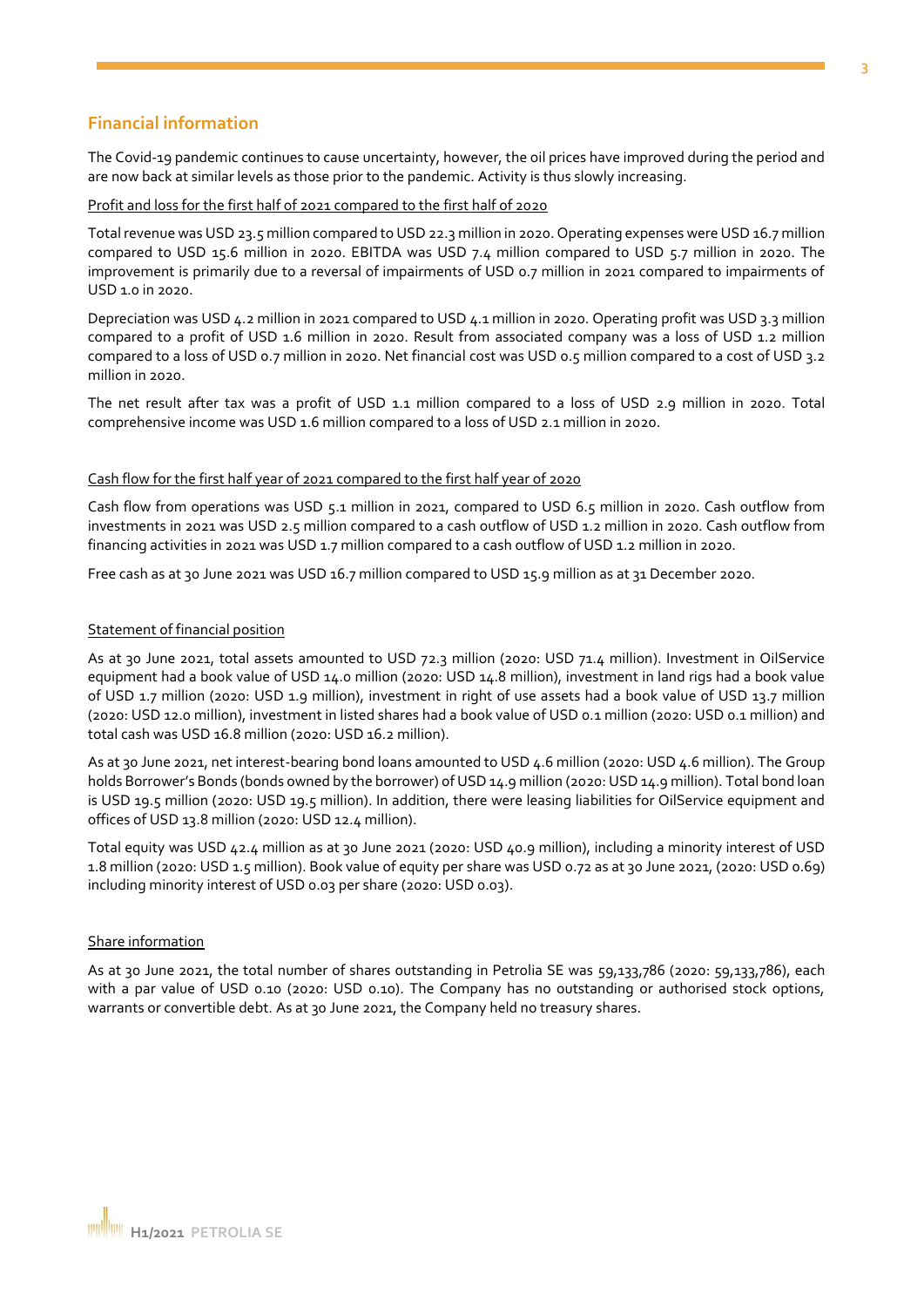#### **Financial information**

The Covid-19 pandemic continues to cause uncertainty, however, the oil prices have improved during the period and are now back at similar levels as those prior to the pandemic. Activity is thus slowly increasing.

#### Profit and loss for the first half of 2021 compared to the first half of 2020

Total revenue was USD 23.5 million compared to USD 22.3 million in 2020. Operating expenses were USD 16.7 million compared to USD 15.6 million in 2020. EBITDA was USD 7.4 million compared to USD 5.7 million in 2020. The improvement is primarily due to a reversal of impairments of USD 0.7 million in 2021 compared to impairments of USD 1.0 in 2020.

Depreciation was USD 4.2 million in 2021 compared to USD 4.1 million in 2020. Operating profit was USD 3.3 million compared to a profit of USD 1.6 million in 2020. Result from associated company was a loss of USD 1.2 million compared to a loss of USD 0.7 million in 2020. Net financial cost was USD 0.5 million compared to a cost of USD 3.2 million in 2020.

The net result after tax was a profit of USD 1.1 million compared to a loss of USD 2.9 million in 2020. Total comprehensive income was USD 1.6 million compared to a loss of USD 2.1 million in 2020.

#### Cash flow for the first half year of 2021 compared to the first half year of 2020

Cash flow from operations was USD 5.1 million in 2021, compared to USD 6.5 million in 2020. Cash outflow from investments in 2021 was USD 2.5 million compared to a cash outflow of USD 1.2 million in 2020. Cash outflow from financing activities in 2021 was USD 1.7 million compared to a cash outflow of USD 1.2 million in 2020.

Free cash as at 30 June 2021 was USD 16.7 million compared to USD 15.9 million as at 31 December 2020.

#### Statement of financial position

As at 30 June 2021, total assets amounted to USD 72.3 million (2020: USD 71.4 million). Investment in OilService equipment had a book value of USD 14.0 million (2020: USD 14.8 million), investment in land rigs had a book value of USD 1.7 million (2020: USD 1.9 million), investment in right of use assets had a book value of USD 13.7 million (2020: USD 12.0 million), investment in listed shares had a book value of USD 0.1 million (2020: USD 0.1 million) and total cash was USD 16.8 million (2020: USD 16.2 million).

As at 30 June 2021, net interest-bearing bond loans amounted to USD 4.6 million (2020: USD 4.6 million). The Group holds Borrower's Bonds (bonds owned by the borrower) of USD 14.9 million (2020: USD 14.9 million). Total bond loan is USD 19.5 million (2020: USD 19.5 million). In addition, there were leasing liabilities for OilService equipment and offices of USD 13.8 million (2020: USD 12.4 million).

Total equity was USD 42.4 million as at 30 June 2021 (2020: USD 40.9 million), including a minority interest of USD 1.8 million (2020: USD 1.5 million). Book value of equity per share was USD 0.72 as at 30 June 2021, (2020: USD 0.69) including minority interest of USD 0.03 per share (2020: USD 0.03).

#### Share information

As at 30 June 2021, the total number of shares outstanding in Petrolia SE was 59,133,786 (2020: 59,133,786), each with a par value of USD 0.10 (2020: USD 0.10). The Company has no outstanding or authorised stock options, warrants or convertible debt. As at 30 June 2021, the Company held no treasury shares.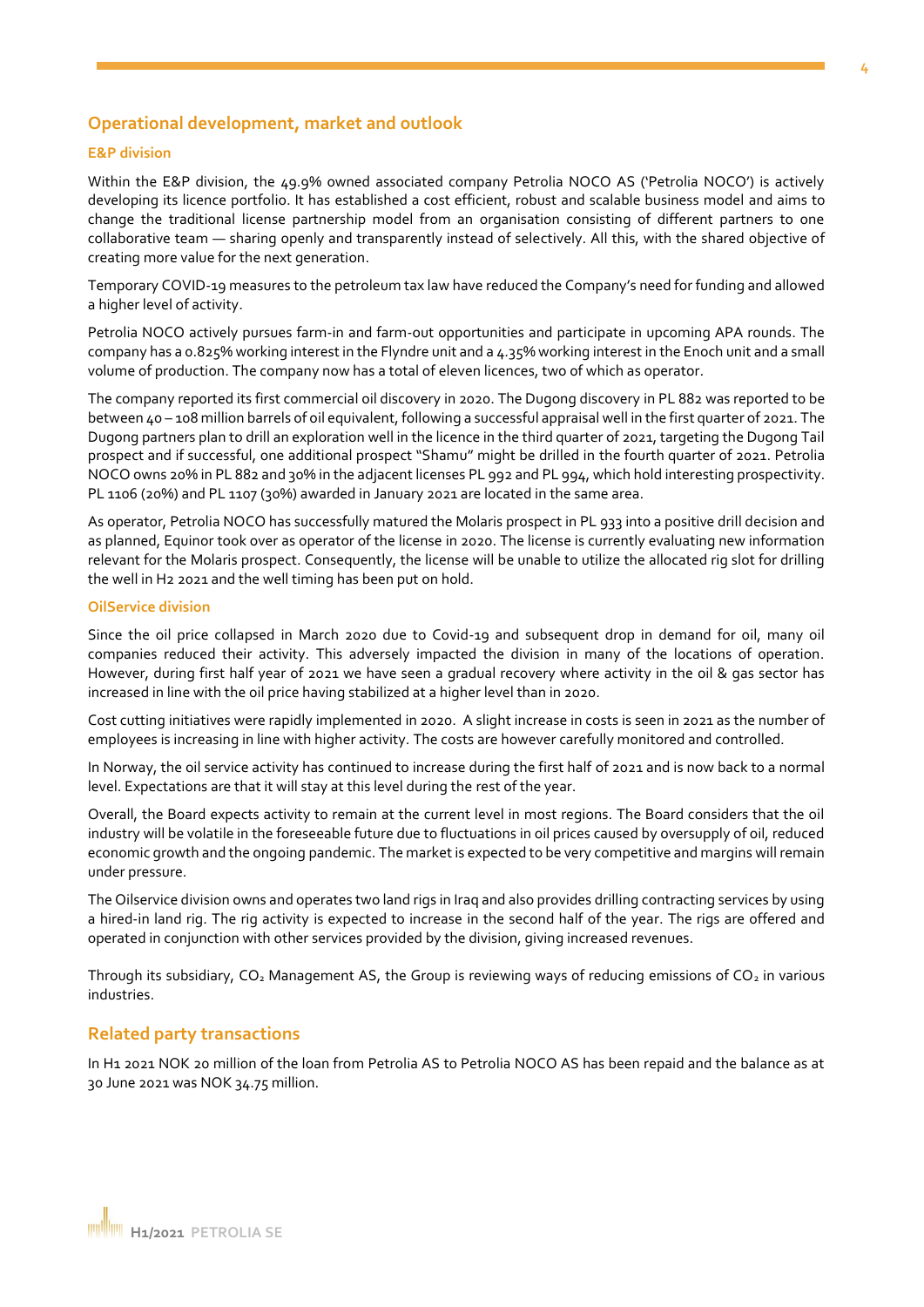#### **4**

#### **Operational development, market and outlook**

#### **E&P division**

Within the E&P division, the 49.9% owned associated company Petrolia NOCO AS ('Petrolia NOCO') is actively developing its licence portfolio. It has established a cost efficient, robust and scalable business model and aims to change the traditional license partnership model from an organisation consisting of different partners to one collaborative team — sharing openly and transparently instead of selectively. All this, with the shared objective of creating more value for the next generation.

Temporary COVID-19 measures to the petroleum tax law have reduced the Company's need for funding and allowed a higher level of activity.

Petrolia NOCO actively pursues farm-in and farm-out opportunities and participate in upcoming APA rounds. The company has a 0.825% working interest in the Flyndre unit and a 4.35% working interest in the Enoch unit and a small volume of production. The company now has a total of eleven licences, two of which as operator.

The company reported its first commercial oil discovery in 2020. The Dugong discovery in PL 882 was reported to be between 40 – 108 million barrels of oil equivalent, following a successful appraisal well in the first quarter of 2021. The Dugong partners plan to drill an exploration well in the licence in the third quarter of 2021, targeting the Dugong Tail prospect and if successful, one additional prospect "Shamu" might be drilled in the fourth quarter of 2021. Petrolia NOCO owns 20% in PL 882 and 30% in the adjacent licenses PL 992 and PL 994, which hold interesting prospectivity. PL 1106 (20%) and PL 1107 (30%) awarded in January 2021 are located in the same area.

As operator, Petrolia NOCO has successfully matured the Molaris prospect in PL 933 into a positive drill decision and as planned, Equinor took over as operator of the license in 2020. The license is currently evaluating new information relevant for the Molaris prospect. Consequently, the license will be unable to utilize the allocated rig slot for drilling the well in H2 2021 and the well timing has been put on hold.

#### **OilService division**

Since the oil price collapsed in March 2020 due to Covid-19 and subsequent drop in demand for oil, many oil companies reduced their activity. This adversely impacted the division in many of the locations of operation. However, during first half year of 2021 we have seen a gradual recovery where activity in the oil & gas sector has increased in line with the oil price having stabilized at a higher level than in 2020.

Cost cutting initiatives were rapidly implemented in 2020. A slight increase in costs is seen in 2021 as the number of employees is increasing in line with higher activity. The costs are however carefully monitored and controlled.

In Norway, the oil service activity has continued to increase during the first half of 2021 and is now back to a normal level. Expectations are that it will stay at this level during the rest of the year.

Overall, the Board expects activity to remain at the current level in most regions. The Board considers that the oil industry will be volatile in the foreseeable future due to fluctuations in oil prices caused by oversupply of oil, reduced economic growth and the ongoing pandemic. The market is expected to be very competitive and margins will remain under pressure.

The Oilservice division owns and operates two land rigs in Iraq and also provides drilling contracting services by using a hired-in land rig. The rig activity is expected to increase in the second half of the year. The rigs are offered and operated in conjunction with other services provided by the division, giving increased revenues.

Through its subsidiary,  $CO<sub>2</sub>$  Management AS, the Group is reviewing ways of reducing emissions of  $CO<sub>2</sub>$  in various industries.

#### **Related party transactions**

In H1 2021 NOK 20 million of the loan from Petrolia AS to Petrolia NOCO AS has been repaid and the balance as at 30 June 2021 was NOK 34.75 million.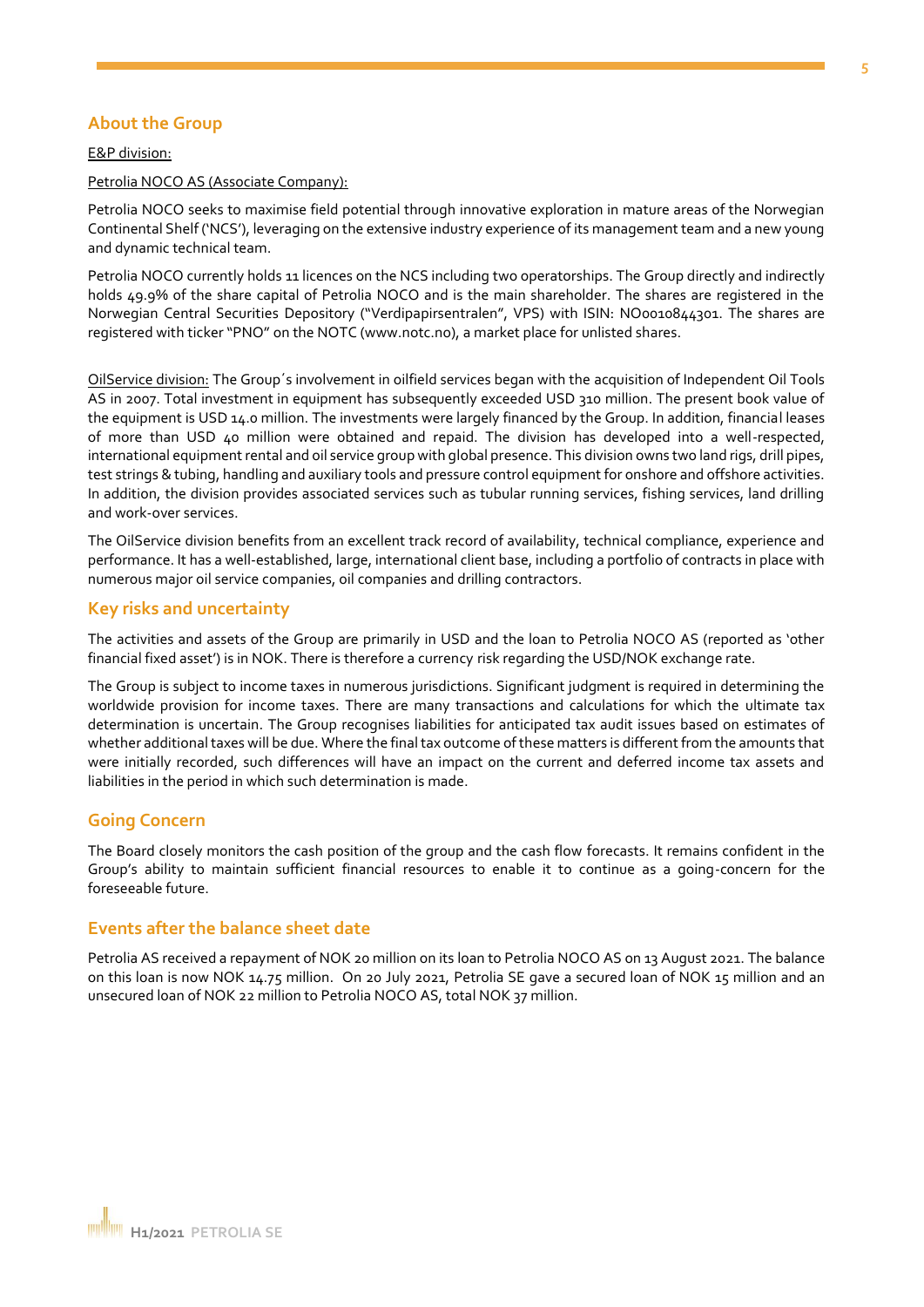#### **About the Group**

#### E&P division:

#### Petrolia NOCO AS (Associate Company):

Petrolia NOCO seeks to maximise field potential through innovative exploration in mature areas of the Norwegian Continental Shelf ('NCS'), leveraging on the extensive industry experience of its management team and a new young and dynamic technical team.

Petrolia NOCO currently holds 11 licences on the NCS including two operatorships. The Group directly and indirectly holds 49.9% of the share capital of Petrolia NOCO and is the main shareholder. The shares are registered in the Norwegian Central Securities Depository ("Verdipapirsentralen", VPS) with ISIN: NO0010844301. The shares are registered with ticker "PNO" on the NOTC (www.notc.no), a market place for unlisted shares.

OilService division: The Group´s involvement in oilfield services began with the acquisition of Independent Oil Tools AS in 2007. Total investment in equipment has subsequently exceeded USD 310 million. The present book value of the equipment is USD 14.0 million. The investments were largely financed by the Group. In addition, financial leases of more than USD 40 million were obtained and repaid. The division has developed into a well-respected, international equipment rental and oil service group with global presence. This division owns two land rigs, drill pipes, test strings & tubing, handling and auxiliary tools and pressure control equipment for onshore and offshore activities. In addition, the division provides associated services such as tubular running services, fishing services, land drilling and work-over services.

The OilService division benefits from an excellent track record of availability, technical compliance, experience and performance. It has a well-established, large, international client base, including a portfolio of contracts in place with numerous major oil service companies, oil companies and drilling contractors.

#### **Key risks and uncertainty**

The activities and assets of the Group are primarily in USD and the loan to Petrolia NOCO AS (reported as 'other financial fixed asset') is in NOK. There is therefore a currency risk regarding the USD/NOK exchange rate.

The Group is subject to income taxes in numerous jurisdictions. Significant judgment is required in determining the worldwide provision for income taxes. There are many transactions and calculations for which the ultimate tax determination is uncertain. The Group recognises liabilities for anticipated tax audit issues based on estimates of whether additional taxes will be due. Where the final tax outcome of these matters is different from the amounts that were initially recorded, such differences will have an impact on the current and deferred income tax assets and liabilities in the period in which such determination is made.

#### **Going Concern**

The Board closely monitors the cash position of the group and the cash flow forecasts. It remains confident in the Group's ability to maintain sufficient financial resources to enable it to continue as a going-concern for the foreseeable future.

#### **Events after the balance sheet date**

Petrolia AS received a repayment of NOK 20 million on its loan to Petrolia NOCO AS on 13 August 2021. The balance on this loan is now NOK 14.75 million. On 20 July 2021, Petrolia SE gave a secured loan of NOK 15 million and an unsecured loan of NOK 22 million to Petrolia NOCO AS, total NOK 37 million.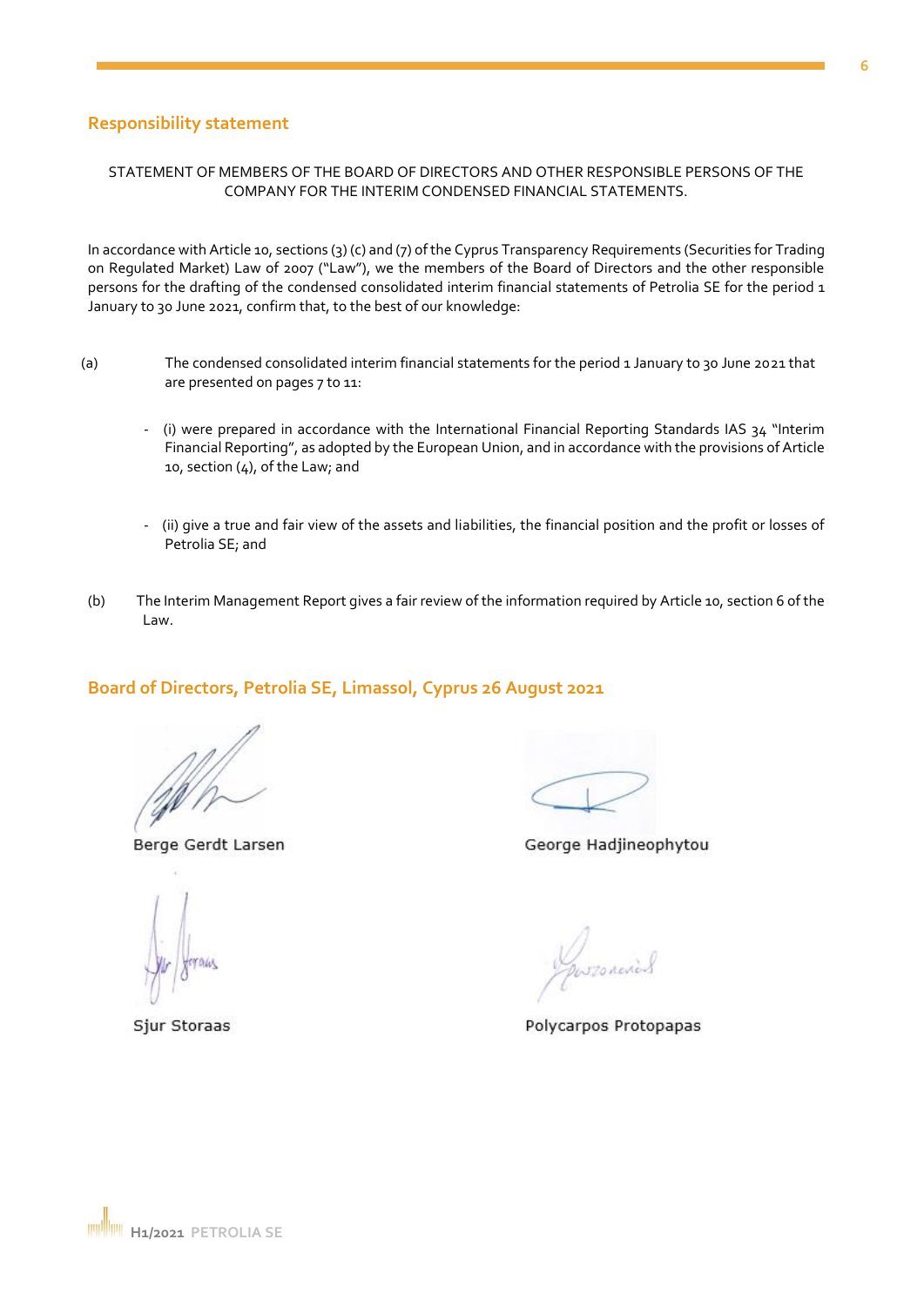## **Responsibility statement**

#### STATEMENT OF MEMBERS OF THE BOARD OF DIRECTORS AND OTHER RESPONSIBLE PERSONS OF THE COMPANY FOR THE INTERIM CONDENSED FINANCIAL STATEMENTS.

In accordance with Article 10, sections (3) (c) and (7) of the Cyprus Transparency Requirements (Securities for Trading on Regulated Market) Law of 2007 ("Law"), we the members of the Board of Directors and the other responsible persons for the drafting of the condensed consolidated interim financial statements of Petrolia SE for the period 1 January to 30 June 2021, confirm that, to the best of our knowledge:

- (a) The condensed consolidated interim financial statements for the period 1 January to 30 June 2021 that are presented on pages 7 to 11:
	- (i) were prepared in accordance with the International Financial Reporting Standards IAS 34 "Interim Financial Reporting", as adopted by the European Union, and in accordance with the provisions of Article 10, section (4), of the Law; and
	- (ii) give a true and fair view of the assets and liabilities, the financial position and the profit or losses of Petrolia SE; and
- (b) The Interim Management Report gives a fair review of the information required by Article 10, section 6 of the Law.

#### **Board of Directors, Petrolia SE, Limassol, Cyprus 26 August 2021**

Berge Gerdt Larsen

George Hadjineophytou

Sjur Storaas

Polycarpos Protopapas



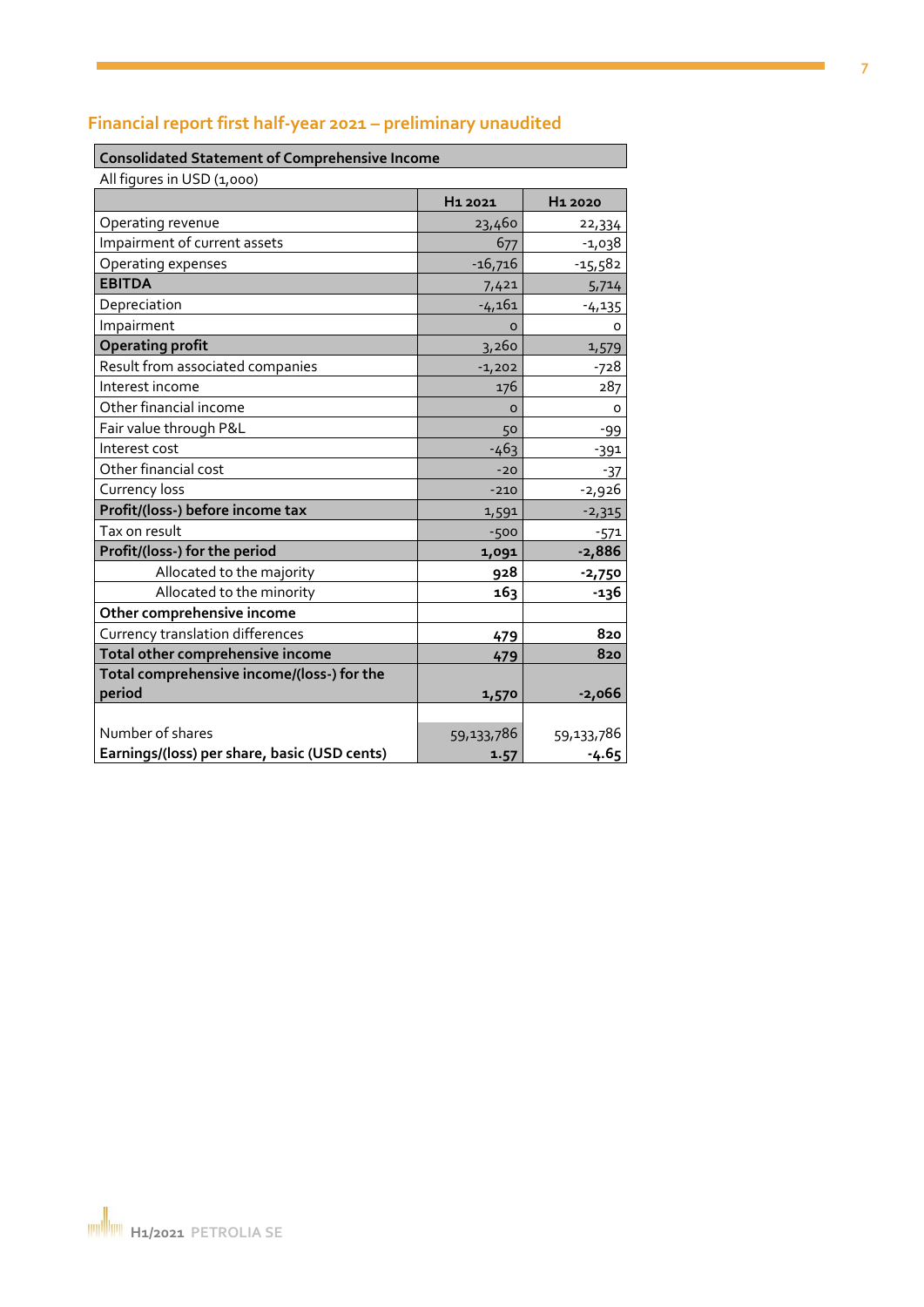# **Financial report first half-year 2021 – preliminary unaudited**

#### **Consolidated Statement of Comprehensive Income**

| All figures in USD (1,000)                   |                     |                     |
|----------------------------------------------|---------------------|---------------------|
|                                              | H <sub>1</sub> 2021 | H <sub>1</sub> 2020 |
| Operating revenue                            | 23,460              | 22,334              |
| Impairment of current assets                 | 677                 | $-1,038$            |
| Operating expenses                           | $-16,716$           | -15,582             |
| <b>EBITDA</b>                                | 7,421               | 5,714               |
| Depreciation                                 | $-4,161$            | $-4,135$            |
| Impairment                                   | $\Omega$            | O                   |
| <b>Operating profit</b>                      | 3,260               | 1,579               |
| Result from associated companies             | $-1,202$            | -728                |
| Interest income                              | 176                 | 287                 |
| Other financial income                       | $\Omega$            | O                   |
| Fair value through P&L                       | 50                  | -99                 |
| Interest cost                                | $-463$              | $-391$              |
| Other financial cost                         | $-20$               | -37                 |
| Currency loss                                | $-210$              | $-2,926$            |
| Profit/(loss-) before income tax             | 1,591               | $-2,315$            |
| Tax on result                                | $-500$              | $-571$              |
| Profit/(loss-) for the period                | 1,091               | $-2,886$            |
| Allocated to the majority                    | 928                 | $-2,750$            |
| Allocated to the minority                    | 163                 | -136                |
| Other comprehensive income                   |                     |                     |
| Currency translation differences             | 479                 | 820                 |
| Total other comprehensive income             | 479                 | 820                 |
| Total comprehensive income/(loss-) for the   |                     |                     |
| period                                       | 1,570               | $-2,066$            |
|                                              |                     |                     |
| Number of shares                             | 59,133,786          | 59,133,786          |
| Earnings/(loss) per share, basic (USD cents) | 1.57                | $-4.65$             |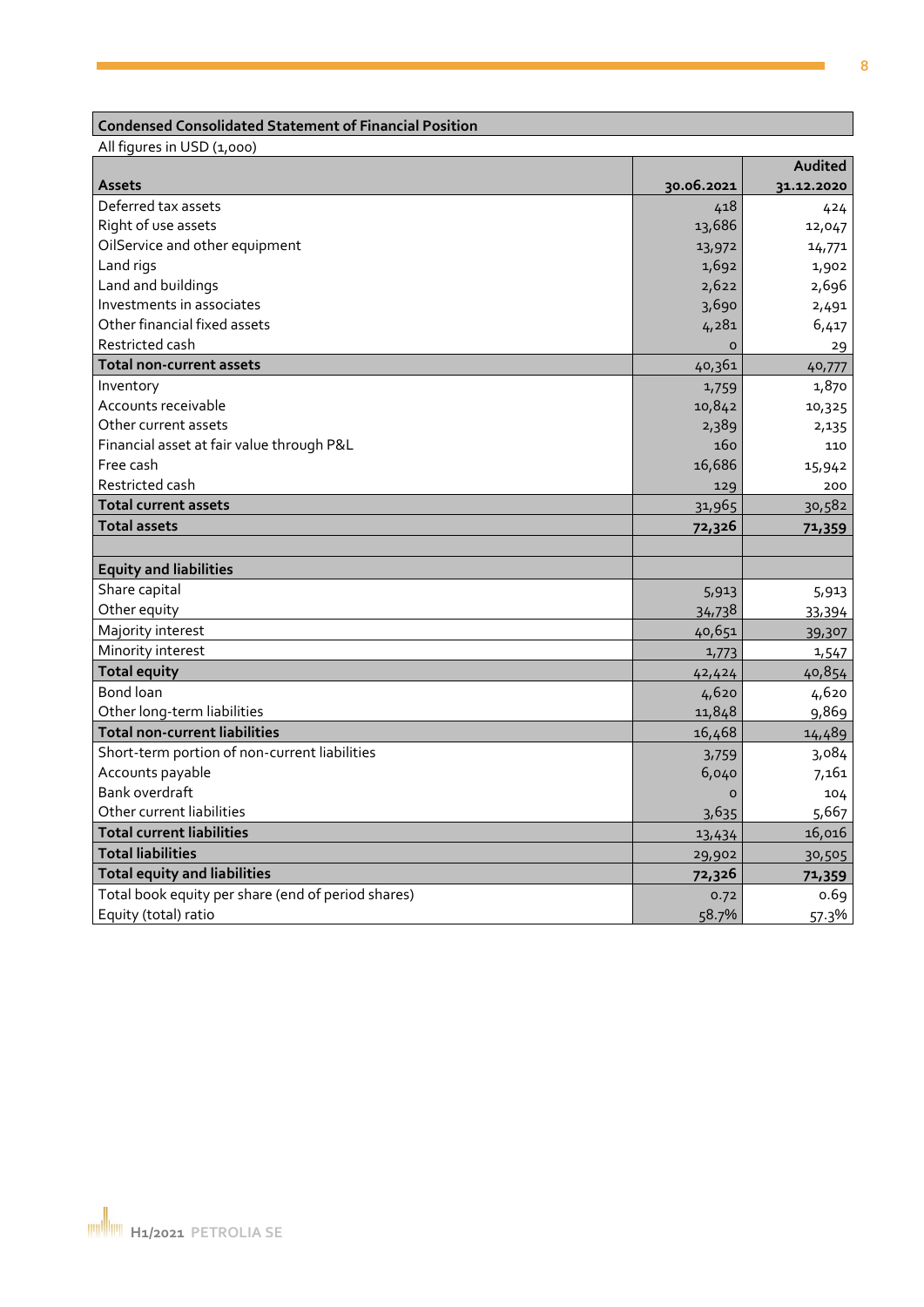## **Condensed Consolidated Statement of Financial Position**

All figures in USD (1,000)

|                                                    |            | Audited    |
|----------------------------------------------------|------------|------------|
| <b>Assets</b>                                      | 30.06.2021 | 31.12.2020 |
| Deferred tax assets                                | 418        | 424        |
| Right of use assets                                | 13,686     | 12,047     |
| OilService and other equipment                     | 13,972     | 14,771     |
| Land rigs                                          | 1,692      | 1,902      |
| Land and buildings                                 | 2,622      | 2,696      |
| Investments in associates                          | 3,690      | 2,491      |
| Other financial fixed assets                       | 4,281      | 6,417      |
| Restricted cash                                    | $\Omega$   | 29         |
| <b>Total non-current assets</b>                    | 40,361     | 40,777     |
| Inventory                                          | 1,759      | 1,870      |
| Accounts receivable                                | 10,842     | 10,325     |
| Other current assets                               | 2,389      | 2,135      |
| Financial asset at fair value through P&L          | 160        | 110        |
| Free cash                                          | 16,686     | 15,942     |
| Restricted cash                                    | 129        | 200        |
| <b>Total current assets</b>                        | 31,965     | 30,582     |
| <b>Total assets</b>                                | 72,326     | 71,359     |
|                                                    |            |            |
| <b>Equity and liabilities</b>                      |            |            |
| Share capital                                      | 5,913      | 5,913      |
| Other equity                                       | 34,738     | 33,394     |
| Majority interest                                  | 40,651     | 39,307     |
| Minority interest                                  | 1,773      | 1,547      |
| <b>Total equity</b>                                | 42,424     | 40,854     |
| Bond loan                                          | 4,620      | 4,620      |
| Other long-term liabilities                        | 11,848     | 9,869      |
| <b>Total non-current liabilities</b>               | 16,468     | 14,489     |
| Short-term portion of non-current liabilities      | 3,759      | 3,084      |
| Accounts payable                                   | 6,040      | 7,161      |
| Bank overdraft                                     | $\Omega$   | 104        |
| Other current liabilities                          | 3,635      | 5,667      |
| <b>Total current liabilities</b>                   | 13,434     | 16,016     |
| <b>Total liabilities</b>                           | 29,902     | 30,505     |
| <b>Total equity and liabilities</b>                | 72,326     | 71,359     |
| Total book equity per share (end of period shares) | 0.72       | 0.69       |
| Equity (total) ratio                               | 58.7%      | 57.3%      |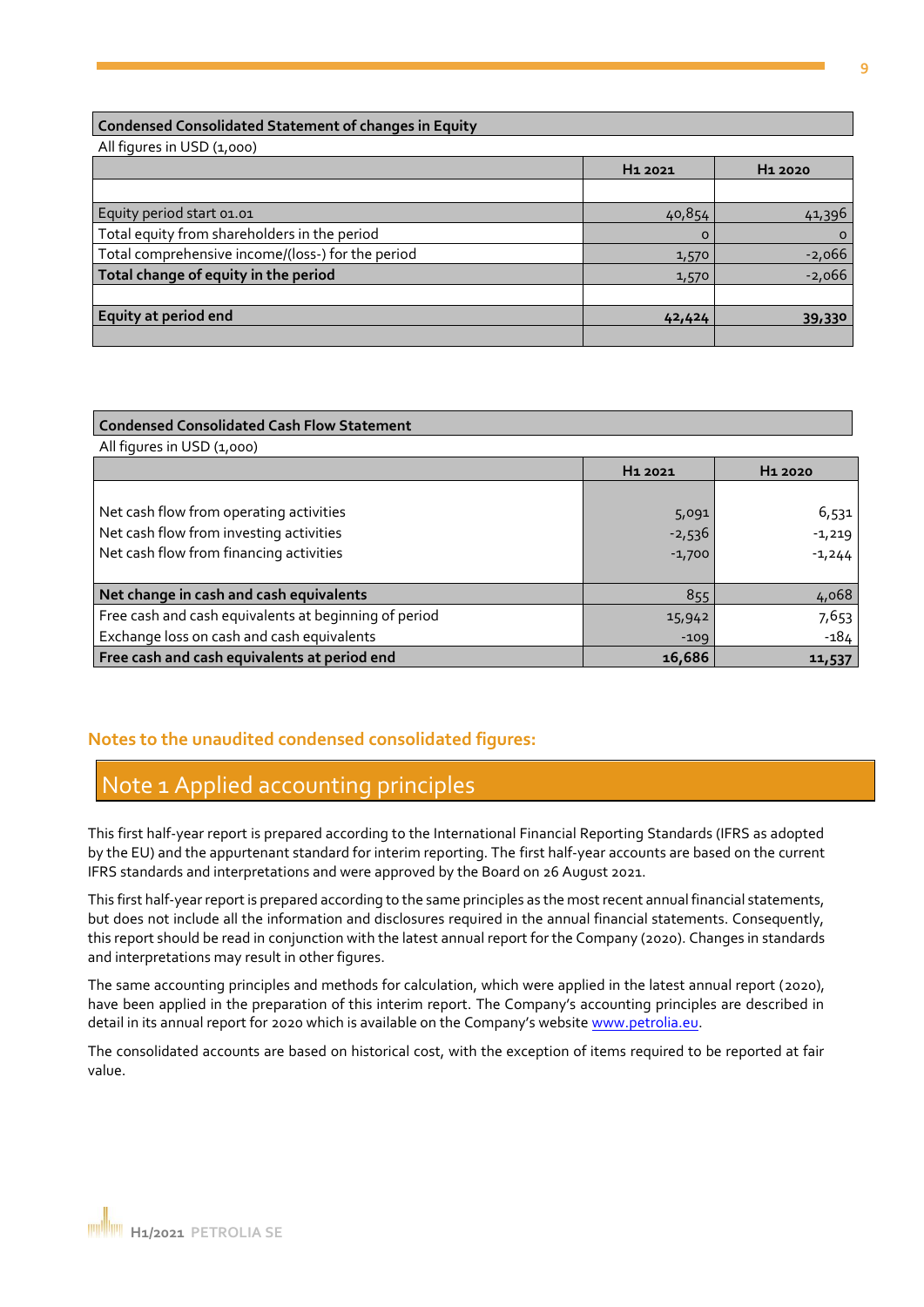#### **Condensed Consolidated Statement of changes in Equity**

All figures in USD (1,000)

|                                                   | H <sub>1</sub> 2021 | H <sub>1</sub> 2020 |
|---------------------------------------------------|---------------------|---------------------|
|                                                   |                     |                     |
| Equity period start 01.01                         | 40,854              | 41,396              |
| Total equity from shareholders in the period      | $\Omega$            |                     |
| Total comprehensive income/(loss-) for the period | 1,570               | $-2,066$            |
| Total change of equity in the period              | 1,570               | $-2,066$            |
|                                                   |                     |                     |
| <b>Equity at period end</b>                       | 42,424              | 39,330              |
|                                                   |                     |                     |

## **Condensed Consolidated Cash Flow Statement** All figures in USD (1,000) **H1 2021 H1 2020** Net cash flow from operating activities 5,091 6,531 Net cash flow from investing activities  $\begin{array}{ccc} -2,536 \end{array}$  -2,536 Net cash flow from financing activities  $\begin{array}{ccc} \hline & & -1,700 \\ \hline \end{array}$  -1,244 **Net change in cash and cash equivalents** 855 4,068 Free cash and cash equivalents at beginning of period 15,942 15,942 7,653 Exchange loss on cash and cash equivalents  $\overline{1}$   $\overline{1}$   $\overline{1}$   $\overline{1}$   $\overline{1}$   $\overline{1}$   $\overline{2}$   $\overline{1}$   $\overline{2}$   $\overline{1}$   $\overline{2}$   $\overline{1}$   $\overline{2}$   $\overline{1}$   $\overline{2}$   $\overline{1}$   $\overline{2}$   $\overline{1}$   $\overline{2}$   $\overline{1}$ **Free cash and cash equivalents at period end 16,686 11,537**

#### **Notes to the unaudited condensed consolidated figures:**

## Note 1 Applied accounting principles

This first half-year report is prepared according to the International Financial Reporting Standards (IFRS as adopted by the EU) and the appurtenant standard for interim reporting. The first half-year accounts are based on the current IFRS standards and interpretations and were approved by the Board on 26 August 2021.

This first half-year report is prepared according to the same principles as the most recent annual financial statements, but does not include all the information and disclosures required in the annual financial statements. Consequently, this report should be read in conjunction with the latest annual report for the Company (2020). Changes in standards and interpretations may result in other figures.

The same accounting principles and methods for calculation, which were applied in the latest annual report (2020), have been applied in the preparation of this interim report. The Company's accounting principles are described in detail in its annual report for 2020 which is available on the Company's website www.petrolia.eu.

The consolidated accounts are based on historical cost, with the exception of items required to be reported at fair value.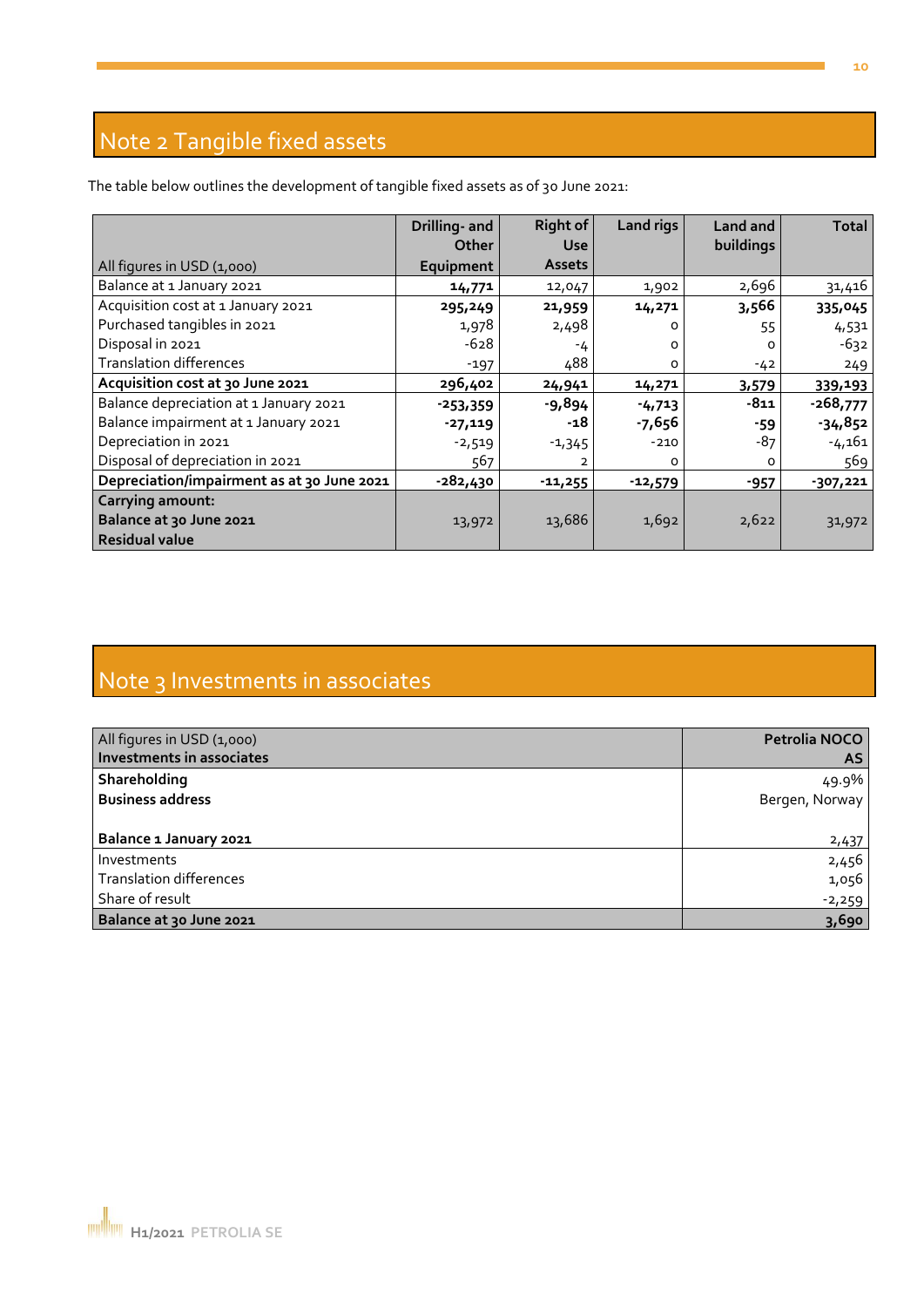# Note 2 Tangible fixed assets

The table below outlines the development of tangible fixed assets as of 30 June 2021:

|                                            | Drilling- and<br><b>Other</b> | <b>Right of</b><br><b>Use</b> | <b>Land rigs</b> | Land and<br>buildings | <b>Total</b> |
|--------------------------------------------|-------------------------------|-------------------------------|------------------|-----------------------|--------------|
| All figures in USD (1,000)                 | Equipment                     | <b>Assets</b>                 |                  |                       |              |
| Balance at 1 January 2021                  | 14,771                        | 12,047                        | 1,902            | 2,696                 | 31,416       |
| Acquisition cost at 1 January 2021         | 295,249                       | 21,959                        | 14,271           | 3,566                 | 335,045      |
| Purchased tangibles in 2021                | 1,978                         | 2,498                         |                  | 55                    | 4,531        |
| Disposal in 2021                           | $-628$                        | -4                            | O                |                       | $-632$       |
| <b>Translation differences</b>             | $-197$                        | 488                           | 0                | $-42$                 | 249          |
| Acquisition cost at 30 June 2021           | 296,402                       | 24,941                        | 14,271           | 3,579                 | 339,193      |
| Balance depreciation at 1 January 2021     | $-253,359$                    | $-9,894$                      | $-4,713$         | $-811$                | $-268,777$   |
| Balance impairment at 1 January 2021       | -27,119                       | -18                           | $-7,656$         | -59                   | $-34,852$    |
| Depreciation in 2021                       | $-2,519$                      | $-1,345$                      | $-210$           | $-87$                 | $-4,161$     |
| Disposal of depreciation in 2021           | 567                           | 2                             | O                | 0                     | 569          |
| Depreciation/impairment as at 30 June 2021 | -282,430                      | $-11,255$                     | $-12,579$        | $-957$                | $-307,221$   |
| <b>Carrying amount:</b>                    |                               |                               |                  |                       |              |
| Balance at 30 June 2021                    | 13,972                        | 13,686                        | 1,692            | 2,622                 | 31,972       |
| <b>Residual value</b>                      |                               |                               |                  |                       |              |

# Note 3 Investments in associates

| All figures in USD (1,000)     | Petrolia NOCO  |
|--------------------------------|----------------|
| Investments in associates      | <b>AS</b>      |
| Shareholding                   | 49.9%          |
| <b>Business address</b>        | Bergen, Norway |
|                                |                |
| Balance 1 January 2021         | 2,437          |
| Investments                    | 2,456          |
| <b>Translation differences</b> | 1,056          |
| Share of result                | $-2,259$       |
| Balance at 30 June 2021        | 3,690          |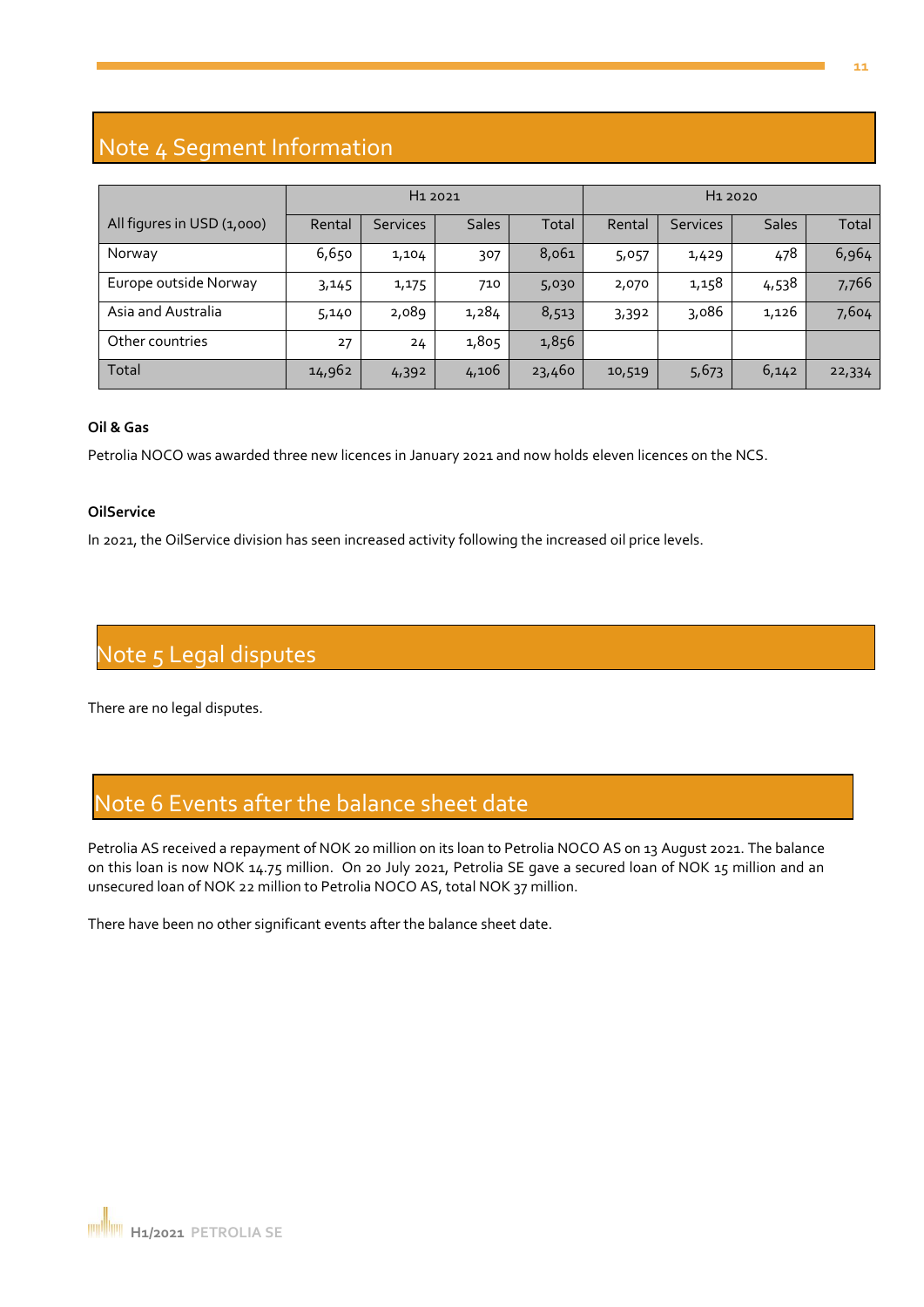# Note 4 Segment Information

|                            | H <sub>1</sub> 2021 |                 |              |        |        | H <sub>1</sub> 2020 |              |        |
|----------------------------|---------------------|-----------------|--------------|--------|--------|---------------------|--------------|--------|
| All figures in USD (1,000) | Rental              | <b>Services</b> | <b>Sales</b> | Total  | Rental | <b>Services</b>     | <b>Sales</b> | Total  |
| Norway                     | 6,650               | 1,104           | 307          | 8,061  | 5,057  | 1,429               | 478          | 6,964  |
| Europe outside Norway      | 3,145               | 1,175           | 710          | 5,030  | 2,070  | 1,158               | 4,538        | 7,766  |
| Asia and Australia         | 5,140               | 2,089           | 1,284        | 8,513  | 3,392  | 3,086               | 1,126        | 7,604  |
| Other countries            | 27                  | 24              | 1,805        | 1,856  |        |                     |              |        |
| Total                      | 14,962              | 4,392           | 4,106        | 23,460 | 10,519 | 5,673               | 6,142        | 22,334 |

#### **Oil & Gas**

Petrolia NOCO was awarded three new licences in January 2021 and now holds eleven licences on the NCS.

#### **OilService**

In 2021, the OilService division has seen increased activity following the increased oil price levels.

# Note 5 Legal disputes

There are no legal disputes.

# Note 6 Events after the balance sheet date

Petrolia AS received a repayment of NOK 20 million on its loan to Petrolia NOCO AS on 13 August 2021. The balance on this loan is now NOK 14.75 million. On 20 July 2021, Petrolia SE gave a secured loan of NOK 15 million and an unsecured loan of NOK 22 million to Petrolia NOCO AS, total NOK 37 million.

There have been no other significant events after the balance sheet date.